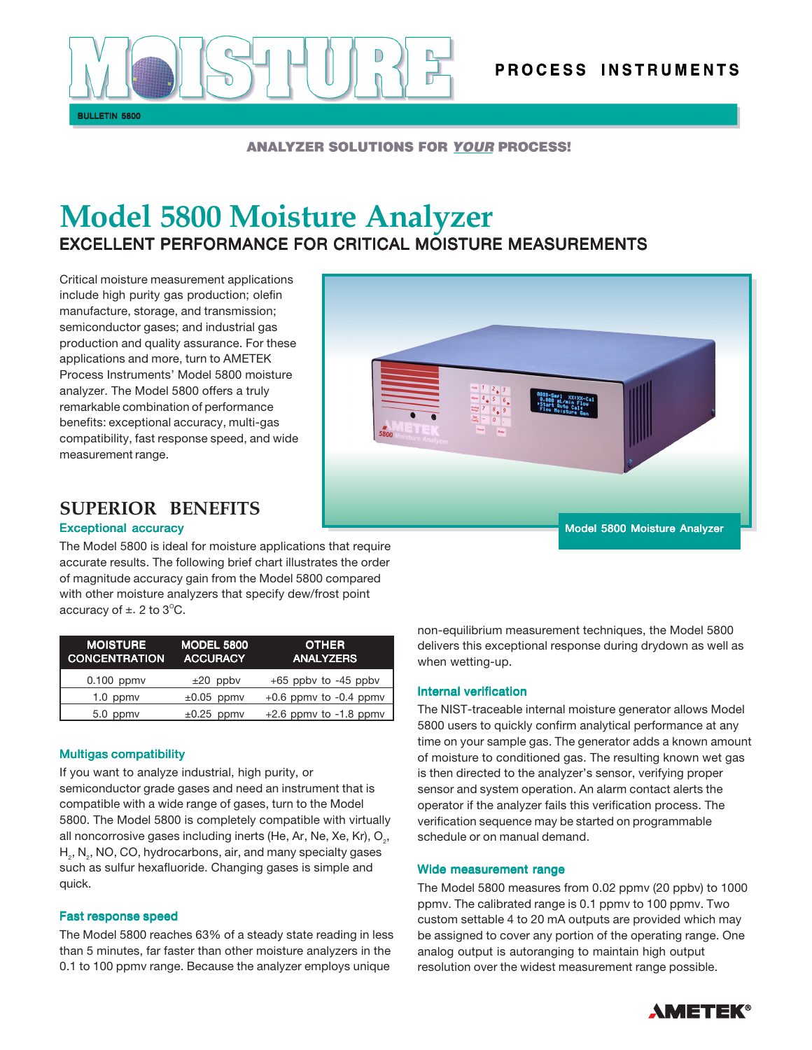

## **ANALYZER SOLUTIONS FOR YOUR PROCESS!**

# **Model 5800 Moisture Analyzer** EXCELLENT PERFORMANCE FOR CRITICAL MOISTURE MEASUREMENTS

Critical moisture measurement applications include high purity gas production; olefin manufacture, storage, and transmission; semiconductor gases; and industrial gas production and quality assurance. For these applications and more, turn to AMETEK Process Instruments' Model 5800 moisture analyzer. The Model 5800 offers a truly remarkable combination of performance benefits: exceptional accuracy, multi-gas compatibility, fast response speed, and wide measurement range.



## **SUPERIOR BENEFITS**

## Exceptional accuracy

The Model 5800 is ideal for moisture applications that require accurate results. The following brief chart illustrates the order of magnitude accuracy gain from the Model 5800 compared with other moisture analyzers that specify dew/frost point accuracy of  $\pm$ . 2 to 3 $^{\circ}$ C.

| <b>MOISTURE</b><br><b>CONCENTRATION</b> | <b>MODEL 5800</b><br><b>ACCURACY</b> | <b>OTHER</b><br><b>ANALYZERS</b> |
|-----------------------------------------|--------------------------------------|----------------------------------|
| $0.100$ ppmv                            | $±20$ ppbv                           | $+65$ ppby to $-45$ ppby         |
| $1.0$ ppm $v$                           | $\pm 0.05$ ppmv                      | $+0.6$ ppmv to $-0.4$ ppmv       |
| 5.0 ppmy                                | $\pm 0.25$ ppmv                      | $+2.6$ ppmv to $-1.8$ ppmv       |

## Multigas compatibility

If you want to analyze industrial, high purity, or semiconductor grade gases and need an instrument that is compatible with a wide range of gases, turn to the Model 5800. The Model 5800 is completely compatible with virtually all noncorrosive gases including inerts (He, Ar, Ne, Xe, Kr),  $\mathsf{O}_{_2},$  $\mathsf{H}_{_2}$ , N $_{_2}$ , NO, CO, hydrocarbons, air, and many specialty gases such as sulfur hexafluoride. Changing gases is simple and quick.

## Fast response speed

The Model 5800 reaches 63% of a steady state reading in less than 5 minutes, far faster than other moisture analyzers in the 0.1 to 100 ppmv range. Because the analyzer employs unique

non-equilibrium measurement techniques, the Model 5800 delivers this exceptional response during drydown as well as when wetting-up.

#### Internal verification

The NIST-traceable internal moisture generator allows Model 5800 users to quickly confirm analytical performance at any time on your sample gas. The generator adds a known amount of moisture to conditioned gas. The resulting known wet gas is then directed to the analyzer's sensor, verifying proper sensor and system operation. An alarm contact alerts the operator if the analyzer fails this verification process. The verification sequence may be started on programmable schedule or on manual demand.

#### Wide measurement range

The Model 5800 measures from 0.02 ppmv (20 ppbv) to 1000 ppmv. The calibrated range is 0.1 ppmv to 100 ppmv. Two custom settable 4 to 20 mA outputs are provided which may be assigned to cover any portion of the operating range. One analog output is autoranging to maintain high output resolution over the widest measurement range possible.